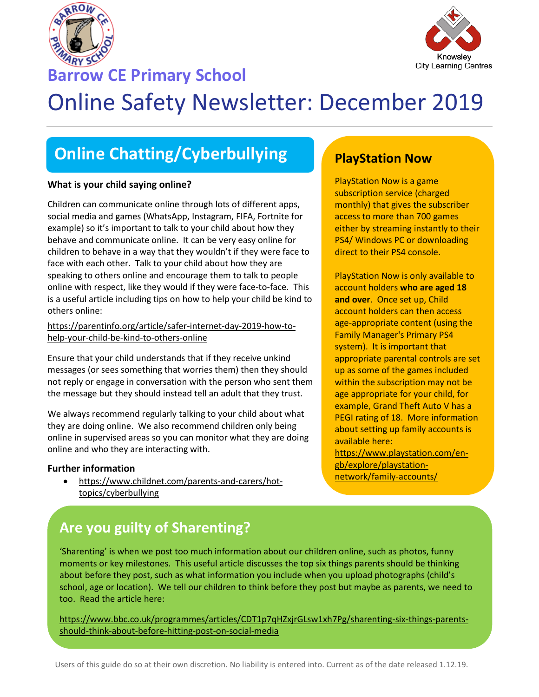

**Barrow CE Primary School**



# Online Safety Newsletter: December 2019

## **Online Chatting/Cyberbullying**

### **What is your child saying online?**

Children can communicate online through lots of different apps, social media and games (WhatsApp, Instagram, FIFA, Fortnite for example) so it's important to talk to your child about how they behave and communicate online. It can be very easy online for children to behave in a way that they wouldn't if they were face to face with each other. Talk to your child about how they are speaking to others online and encourage them to talk to people online with respect, like they would if they were face-to-face. This is a useful article including tips on how to help your child be kind to others online:

[https://parentinfo.org/article/safer-internet-day-2019-how-to](https://parentinfo.org/article/safer-internet-day-2019-how-to-help-your-child-be-kind-to-others-online)[help-your-child-be-kind-to-others-online](https://parentinfo.org/article/safer-internet-day-2019-how-to-help-your-child-be-kind-to-others-online)

Ensure that your child understands that if they receive unkind messages (or sees something that worries them) then they should not reply or engage in conversation with the person who sent them the message but they should instead tell an adult that they trust.

We always recommend regularly talking to your child about what they are doing online. We also recommend children only being online in supervised areas so you can monitor what they are doing online and who they are interacting with.

#### **Further information**

 [https://www.childnet.com/parents-and-carers/hot](https://www.childnet.com/parents-and-carers/hot-topics/cyberbullying)[topics/cyberbullying](https://www.childnet.com/parents-and-carers/hot-topics/cyberbullying)

### **PlayStation Now**

PlayStation Now is a game subscription service (charged monthly) that gives the subscriber access to more than 700 games either by streaming instantly to their PS4/ Windows PC or downloading direct to their PS4 console.

PlayStation Now is only available to account holders **who are aged 18 and over**. Once set up, Child account holders can then access age-appropriate content (using the Family Manager's Primary PS4 system). It is important that appropriate parental controls are set up as some of the games included within the subscription may not be age appropriate for your child, for example, Grand Theft Auto V has a PEGI rating of 18. More information about setting up family accounts is available here: [https://www.playstation.com/en-](https://www.playstation.com/en-gb/explore/playstation-network/family-accounts/)

[gb/explore/playstation](https://www.playstation.com/en-gb/explore/playstation-network/family-accounts/)[network/family-accounts/](https://www.playstation.com/en-gb/explore/playstation-network/family-accounts/)

### **Are you guilty of Sharenting?**

'Sharenting' is when we post too much information about our children online, such as photos, funny moments or key milestones. This useful article discusses the top six things parents should be thinking about before they post, such as what information you include when you upload photographs (child's school, age or location). We tell our children to think before they post but maybe as parents, we need to too. Read the article here:

[https://www.bbc.co.uk/programmes/articles/CDT1p7qHZxjrGLsw1xh7Pg/sharenting-six-things-parents](https://www.bbc.co.uk/programmes/articles/CDT1p7qHZxjrGLsw1xh7Pg/sharenting-six-things-parents-should-think-about-before-hitting-post-on-social-media)[should-think-about-before-hitting-post-on-social-media](https://www.bbc.co.uk/programmes/articles/CDT1p7qHZxjrGLsw1xh7Pg/sharenting-six-things-parents-should-think-about-before-hitting-post-on-social-media)